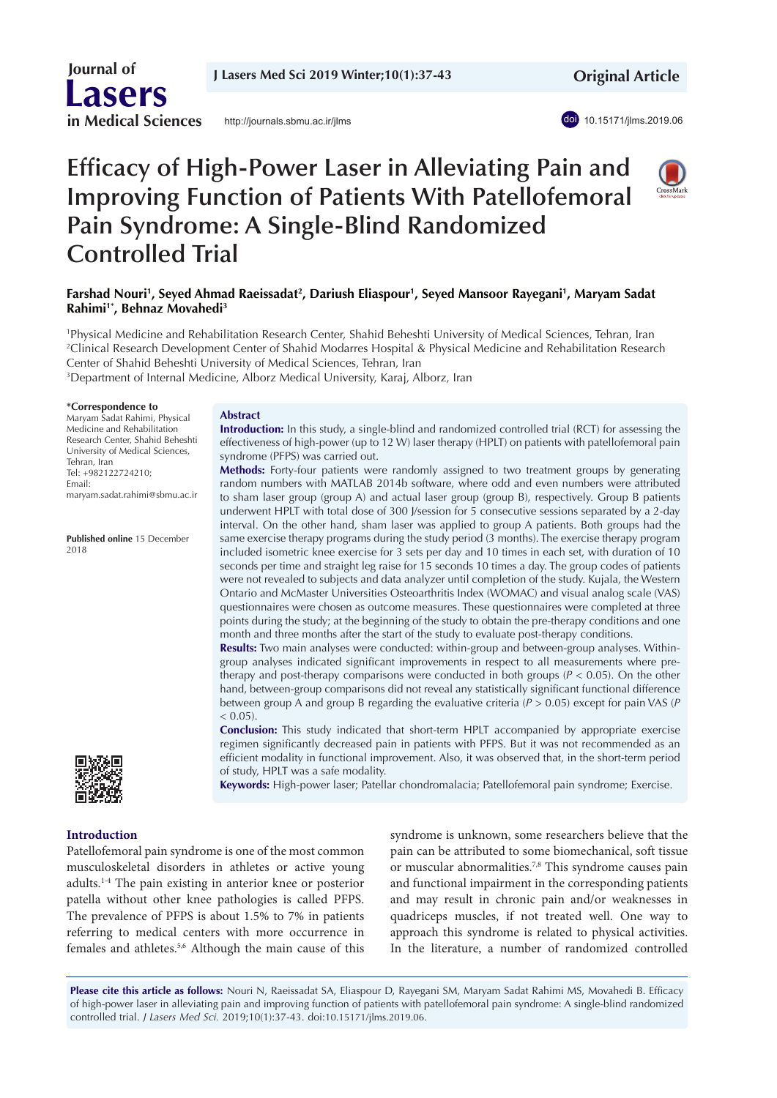**J Lasers Med Sci 2019 Winter;10(1):37-43**



<http://journals.sbmu.ac.ir/jlms>



# **Efficacy of High-Power Laser in Alleviating Pain and Improving Function of Patients With Patellofemoral Pain Syndrome: A Single-Blind Randomized Controlled Trial**



# Farshad Nouri<sup>1</sup>, Seyed Ahmad Raeissadat<sup>2</sup>, Dariush Eliaspour<sup>1</sup>, Seyed Mansoor Rayegani<sup>1</sup>, Maryam Sadat **Rahimi1\*, Behnaz Movahedi3**

 Physical Medicine and Rehabilitation Research Center, Shahid Beheshti University of Medical Sciences, Tehran, Iran Clinical Research Development Center of Shahid Modarres Hospital & Physical Medicine and Rehabilitation Research Center of Shahid Beheshti University of Medical Sciences, Tehran, Iran Department of Internal Medicine, Alborz Medical University, Karaj, Alborz, Iran

#### **\*Correspondence to**

Maryam Sadat Rahimi, Physical Medicine and Rehabilitation Research Center, Shahid Beheshti University of Medical Sciences, Tehran, Iran Tel: +982122724210; Email: maryam.sadat.rahimi@sbmu.ac.ir

**Published online** 15 December 2018

#### **Abstract**

**Introduction:** In this study, a single-blind and randomized controlled trial (RCT) for assessing the effectiveness of high-power (up to 12 W) laser therapy (HPLT) on patients with patellofemoral pain syndrome (PFPS) was carried out.

**Methods:** Forty-four patients were randomly assigned to two treatment groups by generating random numbers with MATLAB 2014b software, where odd and even numbers were attributed to sham laser group (group A) and actual laser group (group B), respectively. Group B patients underwent HPLT with total dose of 300 J/session for 5 consecutive sessions separated by a 2-day interval. On the other hand, sham laser was applied to group A patients. Both groups had the same exercise therapy programs during the study period (3 months). The exercise therapy program included isometric knee exercise for 3 sets per day and 10 times in each set, with duration of 10 seconds per time and straight leg raise for 15 seconds 10 times a day. The group codes of patients were not revealed to subjects and data analyzer until completion of the study. Kujala, the Western Ontario and McMaster Universities Osteoarthritis Index (WOMAC) and visual analog scale (VAS) questionnaires were chosen as outcome measures. These questionnaires were completed at three points during the study; at the beginning of the study to obtain the pre-therapy conditions and one month and three months after the start of the study to evaluate post-therapy conditions.

**Results:** Two main analyses were conducted: within-group and between-group analyses. Withingroup analyses indicated significant improvements in respect to all measurements where pretherapy and post-therapy comparisons were conducted in both groups (*P* < 0.05). On the other hand, between-group comparisons did not reveal any statistically significant functional difference between group A and group B regarding the evaluative criteria (*P* > 0.05) except for pain VAS (*P*  $< 0.05$ ).

**Conclusion:** This study indicated that short-term HPLT accompanied by appropriate exercise regimen significantly decreased pain in patients with PFPS. But it was not recommended as an efficient modality in functional improvement. Also, it was observed that, in the short-term period of study, HPLT was a safe modality.

**Keywords:** High-power laser; Patellar chondromalacia; Patellofemoral pain syndrome; Exercise.

# **Introduction**

Patellofemoral pain syndrome is one of the most common musculoskeletal disorders in athletes or active young adults.1-4 The pain existing in anterior knee or posterior patella without other knee pathologies is called PFPS. The prevalence of PFPS is about 1.5% to 7% in patients referring to medical centers with more occurrence in females and athletes.5,6 Although the main cause of this syndrome is unknown, some researchers believe that the pain can be attributed to some biomechanical, soft tissue or muscular abnormalities.7,8 This syndrome causes pain and functional impairment in the corresponding patients and may result in chronic pain and/or weaknesses in quadriceps muscles, if not treated well. One way to approach this syndrome is related to physical activities. In the literature, a number of randomized controlled

**Please cite this article as follows:** Nouri N, Raeissadat SA, Eliaspour D, Rayegani SM, Maryam Sadat Rahimi MS, Movahedi B. Efficacy of high-power laser in alleviating pain and improving function of patients with patellofemoral pain syndrome: A single-blind randomized controlled trial. *J Lasers Med Sci.* 2019;10(1):37-43. doi:10.15171/jlms.2019.06.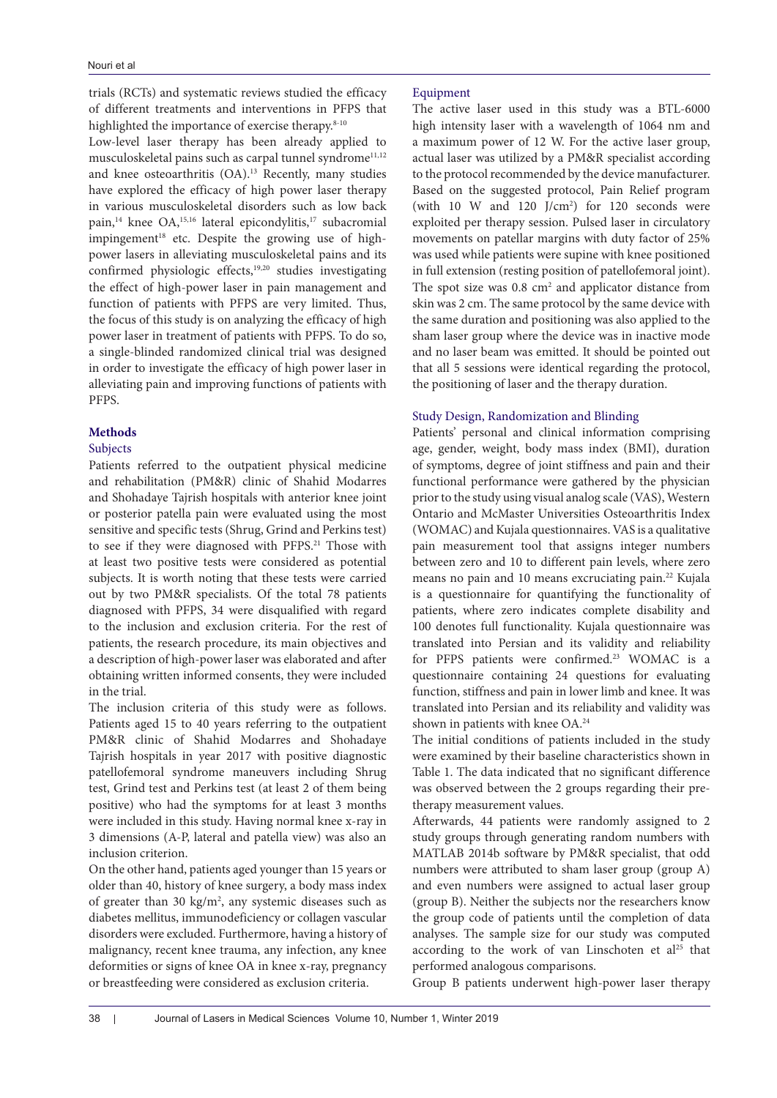trials (RCTs) and systematic reviews studied the efficacy of different treatments and interventions in PFPS that highlighted the importance of exercise therapy.<sup>8-10</sup>

Low-level laser therapy has been already applied to musculoskeletal pains such as carpal tunnel syndrome<sup>11,12</sup> and knee osteoarthritis (OA).<sup>13</sup> Recently, many studies have explored the efficacy of high power laser therapy in various musculoskeletal disorders such as low back pain,14 knee OA,15,16 lateral epicondylitis,17 subacromial impingement<sup>18</sup> etc. Despite the growing use of highpower lasers in alleviating musculoskeletal pains and its confirmed physiologic effects,<sup>19,20</sup> studies investigating the effect of high-power laser in pain management and function of patients with PFPS are very limited. Thus, the focus of this study is on analyzing the efficacy of high power laser in treatment of patients with PFPS. To do so, a single-blinded randomized clinical trial was designed in order to investigate the efficacy of high power laser in alleviating pain and improving functions of patients with PFPS.

# **Methods**

# Subjects

Patients referred to the outpatient physical medicine and rehabilitation (PM&R) clinic of Shahid Modarres and Shohadaye Tajrish hospitals with anterior knee joint or posterior patella pain were evaluated using the most sensitive and specific tests (Shrug, Grind and Perkins test) to see if they were diagnosed with PFPS.<sup>21</sup> Those with at least two positive tests were considered as potential subjects. It is worth noting that these tests were carried out by two PM&R specialists. Of the total 78 patients diagnosed with PFPS, 34 were disqualified with regard to the inclusion and exclusion criteria. For the rest of patients, the research procedure, its main objectives and a description of high-power laser was elaborated and after obtaining written informed consents, they were included in the trial.

The inclusion criteria of this study were as follows. Patients aged 15 to 40 years referring to the outpatient PM&R clinic of Shahid Modarres and Shohadaye Tajrish hospitals in year 2017 with positive diagnostic patellofemoral syndrome maneuvers including Shrug test, Grind test and Perkins test (at least 2 of them being positive) who had the symptoms for at least 3 months were included in this study. Having normal knee x-ray in 3 dimensions (A-P, lateral and patella view) was also an inclusion criterion.

On the other hand, patients aged younger than 15 years or older than 40, history of knee surgery, a body mass index of greater than 30  $\text{kg/m}^2$ , any systemic diseases such as diabetes mellitus, immunodeficiency or collagen vascular disorders were excluded. Furthermore, having a history of malignancy, recent knee trauma, any infection, any knee deformities or signs of knee OA in knee x-ray, pregnancy or breastfeeding were considered as exclusion criteria.

# Equipment

The active laser used in this study was a BTL-6000 high intensity laser with a wavelength of 1064 nm and a maximum power of 12 W. For the active laser group, actual laser was utilized by a PM&R specialist according to the protocol recommended by the device manufacturer. Based on the suggested protocol, Pain Relief program (with  $10 \text{ W}$  and  $120 \text{ J/cm}^2$ ) for  $120 \text{ seconds}$  were exploited per therapy session. Pulsed laser in circulatory movements on patellar margins with duty factor of 25% was used while patients were supine with knee positioned in full extension (resting position of patellofemoral joint). The spot size was  $0.8 \text{ cm}^2$  and applicator distance from skin was 2 cm. The same protocol by the same device with the same duration and positioning was also applied to the sham laser group where the device was in inactive mode and no laser beam was emitted. It should be pointed out that all 5 sessions were identical regarding the protocol, the positioning of laser and the therapy duration.

# Study Design, Randomization and Blinding

Patients' personal and clinical information comprising age, gender, weight, body mass index (BMI), duration of symptoms, degree of joint stiffness and pain and their functional performance were gathered by the physician prior to the study using visual analog scale (VAS), Western Ontario and McMaster Universities Osteoarthritis Index (WOMAC) and Kujala questionnaires. VAS is a qualitative pain measurement tool that assigns integer numbers between zero and 10 to different pain levels, where zero means no pain and 10 means excruciating pain.<sup>22</sup> Kujala is a questionnaire for quantifying the functionality of patients, where zero indicates complete disability and 100 denotes full functionality. Kujala questionnaire was translated into Persian and its validity and reliability for PFPS patients were confirmed.<sup>23</sup> WOMAC is a questionnaire containing 24 questions for evaluating function, stiffness and pain in lower limb and knee. It was translated into Persian and its reliability and validity was shown in patients with knee OA.24

The initial conditions of patients included in the study were examined by their baseline characteristics shown in Table 1. The data indicated that no significant difference was observed between the 2 groups regarding their pretherapy measurement values.

Afterwards, 44 patients were randomly assigned to 2 study groups through generating random numbers with MATLAB 2014b software by PM&R specialist, that odd numbers were attributed to sham laser group (group A) and even numbers were assigned to actual laser group (group B). Neither the subjects nor the researchers know the group code of patients until the completion of data analyses. The sample size for our study was computed according to the work of van Linschoten et al<sup>25</sup> that performed analogous comparisons.

Group B patients underwent high-power laser therapy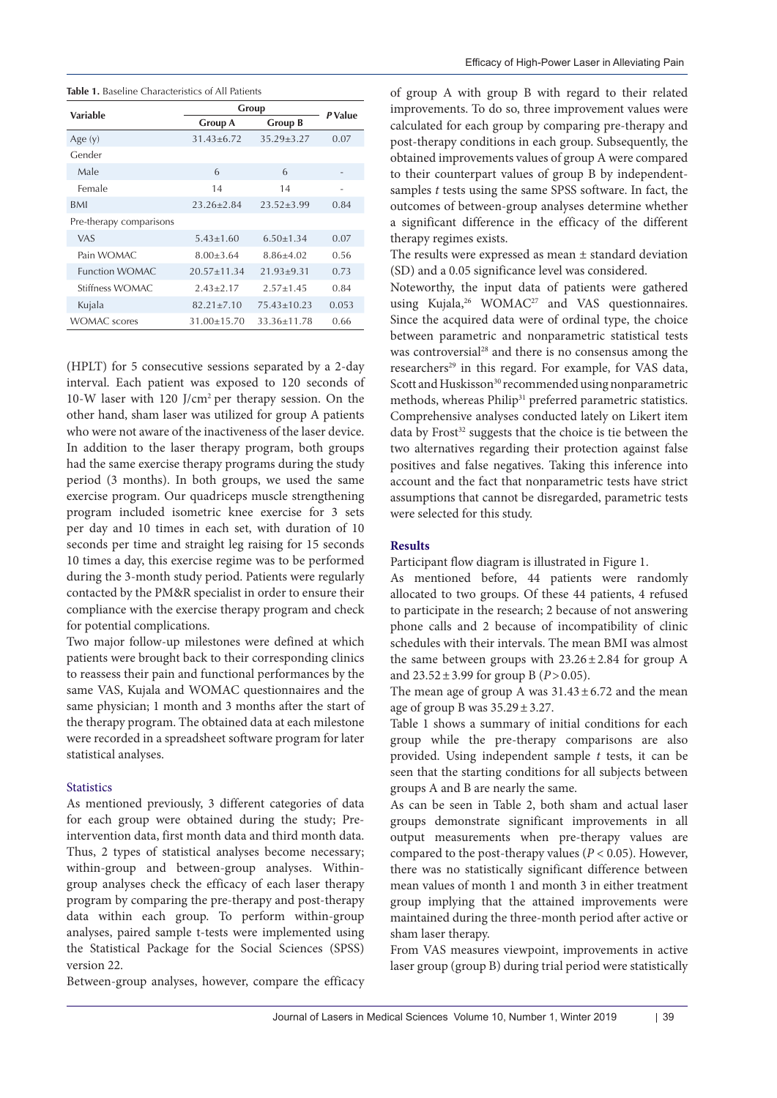**Table 1.** Baseline Characteristics of All Patients

| Variable                |                  | Group            | P Value |
|-------------------------|------------------|------------------|---------|
|                         | <b>Group A</b>   | <b>Group B</b>   |         |
| Age $(y)$               | $31.43 \pm 6.72$ | $35.29 \pm 3.27$ | 0.07    |
| Gender                  |                  |                  |         |
| Male                    | 6                | 6                |         |
| Female                  | 14               | 14               |         |
| <b>BMI</b>              | $23.26 + 2.84$   | $23.52 \pm 3.99$ | 0.84    |
| Pre-therapy comparisons |                  |                  |         |
| <b>VAS</b>              | $5.43 + 1.60$    | $6.50 \pm 1.34$  | 0.07    |
| Pain WOMAC              | $8.00 + 3.64$    | $8.86 + 4.02$    | 0.56    |
| <b>Function WOMAC</b>   | $20.57 + 11.34$  | $21.93 + 9.31$   | 0.73    |
| Stiffness WOMAC         | $2.43 + 2.17$    | $2.57 + 1.45$    | 0.84    |
| Kujala                  | $82.21 \pm 7.10$ | $75.43 + 10.23$  | 0.053   |
| WOMAC scores            | $31.00 + 15.70$  | 33.36+11.78      | 0.66    |

(HPLT) for 5 consecutive sessions separated by a 2-day interval. Each patient was exposed to 120 seconds of 10-W laser with 120 J/cm2 per therapy session. On the other hand, sham laser was utilized for group A patients who were not aware of the inactiveness of the laser device. In addition to the laser therapy program, both groups had the same exercise therapy programs during the study period (3 months). In both groups, we used the same exercise program. Our quadriceps muscle strengthening program included isometric knee exercise for 3 sets per day and 10 times in each set, with duration of 10 seconds per time and straight leg raising for 15 seconds 10 times a day, this exercise regime was to be performed during the 3-month study period. Patients were regularly contacted by the PM&R specialist in order to ensure their compliance with the exercise therapy program and check for potential complications.

Two major follow-up milestones were defined at which patients were brought back to their corresponding clinics to reassess their pain and functional performances by the same VAS, Kujala and WOMAC questionnaires and the same physician; 1 month and 3 months after the start of the therapy program. The obtained data at each milestone were recorded in a spreadsheet software program for later statistical analyses.

#### **Statistics**

As mentioned previously, 3 different categories of data for each group were obtained during the study; Preintervention data, first month data and third month data. Thus, 2 types of statistical analyses become necessary; within-group and between-group analyses. Withingroup analyses check the efficacy of each laser therapy program by comparing the pre-therapy and post-therapy data within each group. To perform within-group analyses, paired sample t-tests were implemented using the Statistical Package for the Social Sciences (SPSS) version 22.

Between-group analyses, however, compare the efficacy

of group A with group B with regard to their related improvements. To do so, three improvement values were calculated for each group by comparing pre-therapy and post-therapy conditions in each group. Subsequently, the obtained improvements values of group A were compared to their counterpart values of group B by independentsamples *t* tests using the same SPSS software. In fact, the outcomes of between-group analyses determine whether a significant difference in the efficacy of the different therapy regimes exists.

The results were expressed as mean ± standard deviation (SD) and a 0.05 significance level was considered.

Noteworthy, the input data of patients were gathered using Kujala, $26$  WOMAC<sup>27</sup> and VAS questionnaires. Since the acquired data were of ordinal type, the choice between parametric and nonparametric statistical tests was controversial<sup>28</sup> and there is no consensus among the researchers<sup>29</sup> in this regard. For example, for VAS data, Scott and Huskisson<sup>30</sup> recommended using nonparametric methods, whereas Philip<sup>31</sup> preferred parametric statistics. Comprehensive analyses conducted lately on Likert item data by Frost<sup>32</sup> suggests that the choice is tie between the two alternatives regarding their protection against false positives and false negatives. Taking this inference into account and the fact that nonparametric tests have strict assumptions that cannot be disregarded, parametric tests were selected for this study.

#### **Results**

Participant flow diagram is illustrated in Figure 1.

As mentioned before, 44 patients were randomly allocated to two groups. Of these 44 patients, 4 refused to participate in the research; 2 because of not answering phone calls and 2 because of incompatibility of clinic schedules with their intervals. The mean BMI was almost the same between groups with  $23.26 \pm 2.84$  for group A and 23.52±3.99 for group B (*P*>0.05).

The mean age of group A was  $31.43 \pm 6.72$  and the mean age of group B was  $35.29 \pm 3.27$ .

Table 1 shows a summary of initial conditions for each group while the pre-therapy comparisons are also provided. Using independent sample *t* tests, it can be seen that the starting conditions for all subjects between groups A and B are nearly the same.

As can be seen in Table 2, both sham and actual laser groups demonstrate significant improvements in all output measurements when pre-therapy values are compared to the post-therapy values ( $P < 0.05$ ). However, there was no statistically significant difference between mean values of month 1 and month 3 in either treatment group implying that the attained improvements were maintained during the three-month period after active or sham laser therapy.

From VAS measures viewpoint, improvements in active laser group (group B) during trial period were statistically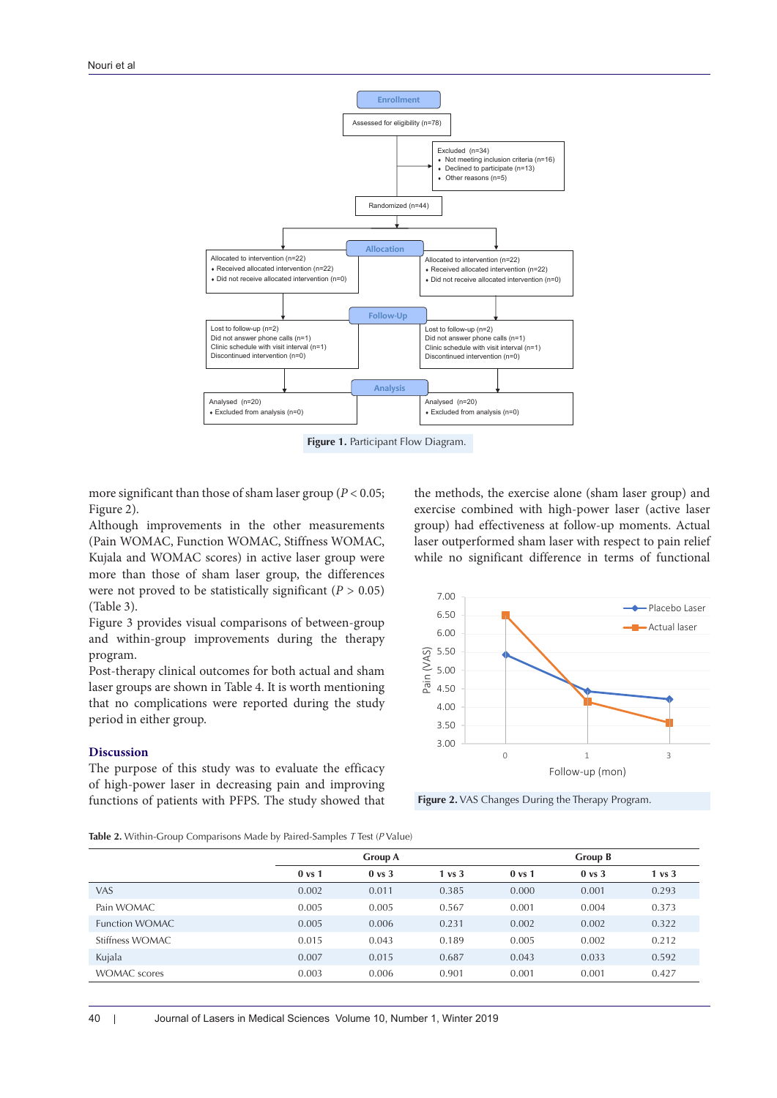

**CONSORT 2010 Flow Diagram**

**Figure 1.** Participant Flow Diagram.

more significant than those of sham laser group ( $P < 0.05$ ; Figure 2).

Although improvements in the other measurements (Pain WOMAC, Function WOMAC, Stiffness WOMAC, Kujala and WOMAC scores) in active laser group were more than those of sham laser group, the differences were not proved to be statistically significant (*P* > 0.05) (Table 3).

Figure 3 provides visual comparisons of between-group and within-group improvements during the therapy program.

Post-therapy clinical outcomes for both actual and sham laser groups are shown in Table 4. It is worth mentioning that no complications were reported during the study period in either group.

#### **Discussion**

The purpose of this study was to evaluate the efficacy of high-power laser in decreasing pain and improving functions of patients with PFPS. The study showed that the methods, the exercise alone (sham laser group) and exercise combined with high-power laser (active laser group) had effectiveness at follow-up moments. Actual laser outperformed sham laser with respect to pain relief while no significant difference in terms of functional



**Figure 2.** VAS Changes During the Therapy Program.

|                       | <b>Group A</b> |                   |                   | Group B           |                   |                   |
|-----------------------|----------------|-------------------|-------------------|-------------------|-------------------|-------------------|
|                       | $0$ vs $1$     | $0 \text{ vs } 3$ | $1 \text{ vs } 3$ | $0 \text{ vs } 1$ | $0 \text{ vs } 3$ | $1 \text{ vs } 3$ |
| <b>VAS</b>            | 0.002          | 0.011             | 0.385             | 0.000             | 0.001             | 0.293             |
| Pain WOMAC            | 0.005          | 0.005             | 0.567             | 0.001             | 0.004             | 0.373             |
| <b>Function WOMAC</b> | 0.005          | 0.006             | 0.231             | 0.002             | 0.002             | 0.322             |
| Stiffness WOMAC       | 0.015          | 0.043             | 0.189             | 0.005             | 0.002             | 0.212             |
| Kujala                | 0.007          | 0.015             | 0.687             | 0.043             | 0.033             | 0.592             |
| <b>WOMAC</b> scores   | 0.003          | 0.006             | 0.901             | 0.001             | 0.001             | 0.427             |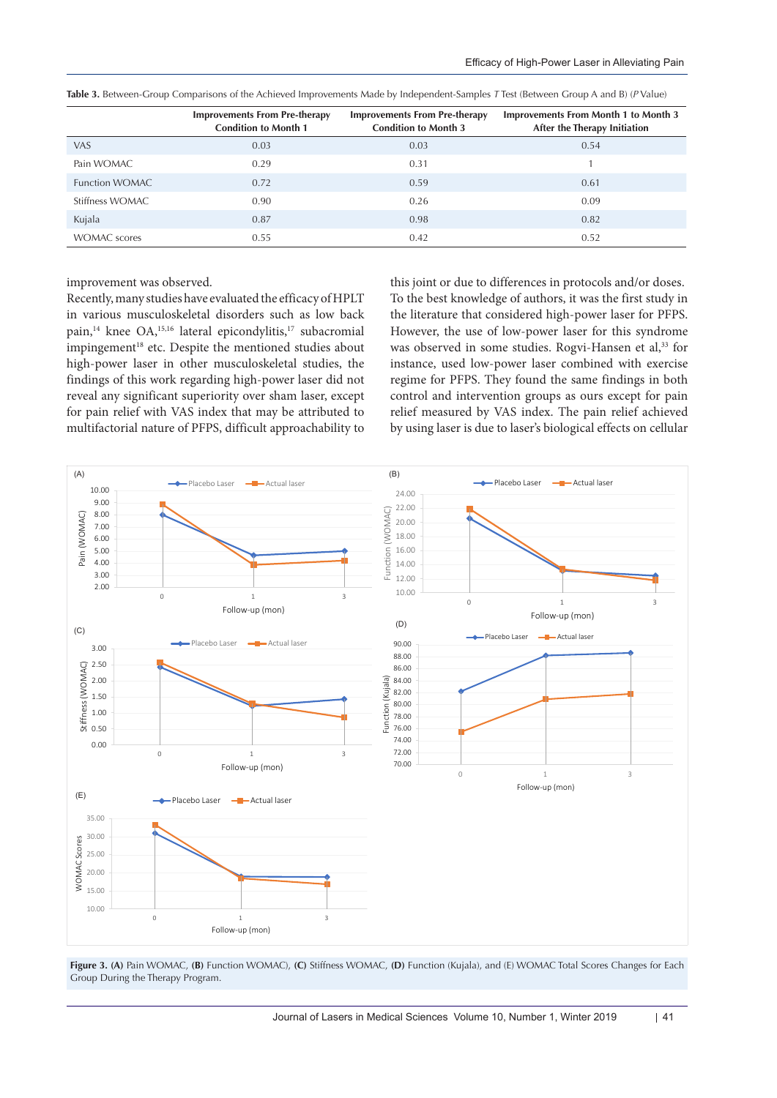|                       | <b>Improvements From Pre-therapy</b><br><b>Condition to Month 1</b> | <b>Improvements From Pre-therapy</b><br><b>Condition to Month 3</b> | <b>Improvements From Month 1 to Month 3</b><br>After the Therapy Initiation |
|-----------------------|---------------------------------------------------------------------|---------------------------------------------------------------------|-----------------------------------------------------------------------------|
| <b>VAS</b>            | 0.03                                                                | 0.03                                                                | 0.54                                                                        |
| Pain WOMAC            | 0.29                                                                | 0.31                                                                |                                                                             |
| <b>Function WOMAC</b> | 0.72                                                                | 0.59                                                                | 0.61                                                                        |
| Stiffness WOMAC       | 0.90                                                                | 0.26                                                                | 0.09                                                                        |
| Kujala                | 0.87                                                                | 0.98                                                                | 0.82                                                                        |
| <b>WOMAC</b> scores   | 0.55                                                                | 0.42                                                                | 0.52                                                                        |

**Table 3.** Between-Group Comparisons of the Achieved Improvements Made by Independent-Samples *T* Test (Between Group A and B) (*P* Value)

improvement was observed.

Recently, many studies have evaluated the efficacy of HPLT in various musculoskeletal disorders such as low back pain,<sup>14</sup> knee OA,<sup>15,16</sup> lateral epicondylitis,<sup>17</sup> subacromial impingement<sup>18</sup> etc. Despite the mentioned studies about high-power laser in other musculoskeletal studies, the findings of this work regarding high-power laser did not reveal any significant superiority over sham laser, except for pain relief with VAS index that may be attributed to multifactorial nature of PFPS, difficult approachability to

this joint or due to differences in protocols and/or doses. To the best knowledge of authors, it was the first study in the literature that considered high-power laser for PFPS. However, the use of low-power laser for this syndrome was observed in some studies. Rogvi-Hansen et al,<sup>33</sup> for instance, used low-power laser combined with exercise regime for PFPS. They found the same findings in both control and intervention groups as ours except for pain relief measured by VAS index. The pain relief achieved by using laser is due to laser's biological effects on cellular



**Figure 3. (A)** Pain WOMAC, **(B)** Function WOMAC), **(C)** Stiffness WOMAC, **(D)** Function (Kujala), and (E) WOMAC Total Scores Changes for Each Group During the Therapy Program.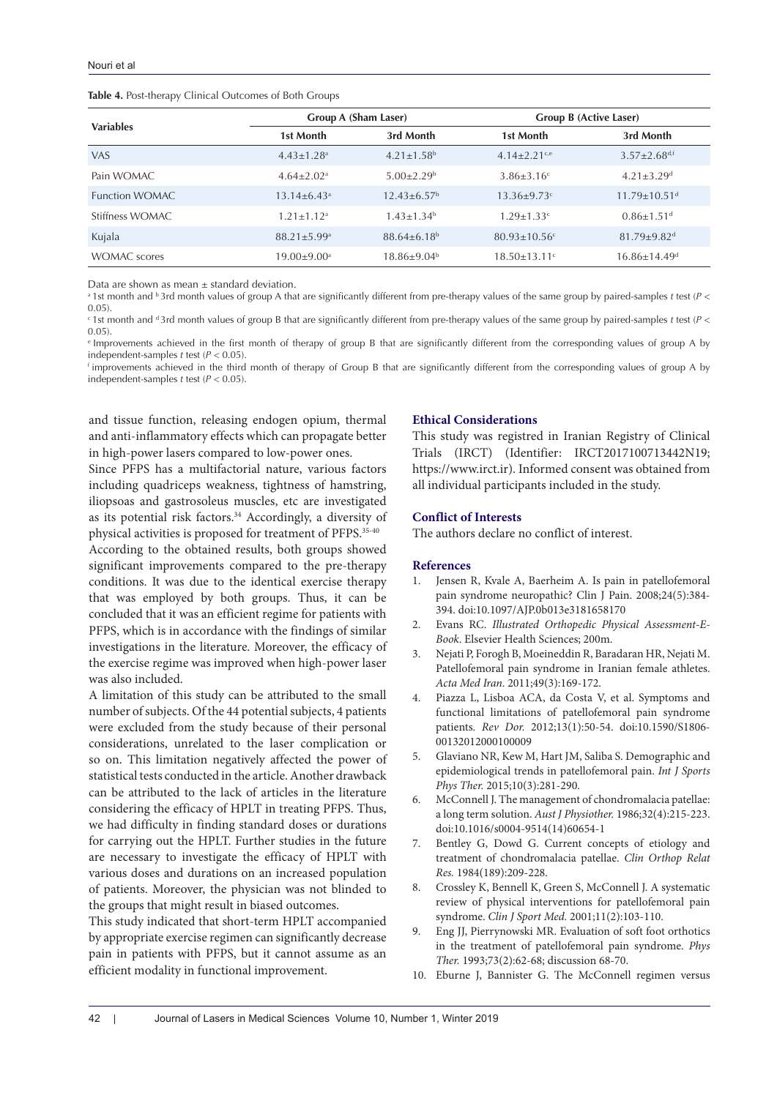|  | Table 4. Post-therapy Clinical Outcomes of Both Groups |  |  |  |  |
|--|--------------------------------------------------------|--|--|--|--|
|--|--------------------------------------------------------|--|--|--|--|

| <b>Variables</b>      | <b>Group A (Sham Laser)</b>   |                               | <b>Group B (Active Laser)</b>  |                                |  |
|-----------------------|-------------------------------|-------------------------------|--------------------------------|--------------------------------|--|
|                       | 1st Month                     | 3rd Month                     | 1st Month                      | 3rd Month                      |  |
| <b>VAS</b>            | $4.43 \pm 1.28$ <sup>a</sup>  | $4.21 \pm 1.58$ <sup>b</sup>  | $4.14+2.21$ <sup>c,e</sup>     | $3.57 \pm 2.68$ d,f            |  |
| Pain WOMAC            | $4.64 \pm 2.02$ <sup>a</sup>  | $5.00+2.29b$                  | $3.86 \pm 3.16$ <sup>c</sup>   | $4.21 + 3.29$ <sup>d</sup>     |  |
| <b>Function WOMAC</b> | $13.14 + 6.43^a$              | $12.43 \pm 6.57$ <sup>b</sup> | $13.36 + 9.73$ <sup>c</sup>    | $11.79 \pm 10.51$ <sup>d</sup> |  |
| Stiffness WOMAC       | $1.21 \pm 1.12$ <sup>a</sup>  | $1.43 + 1.34$ <sup>b</sup>    | $1.29 + 1.33c$                 | $0.86 \pm 1.51$ <sup>d</sup>   |  |
| Kujala                | $88.21 \pm 5.99$ <sup>a</sup> | $88.64 \pm 6.18$ <sup>b</sup> | $80.93 \pm 10.56$ <sup>c</sup> | $81.79 \pm 9.82$ <sup>d</sup>  |  |
| <b>WOMAC</b> scores   | $19.00+9.00a$                 | $18.86 \pm 9.04^b$            | $18.50 \pm 13.11$ <sup>c</sup> | $16.86 \pm 14.49$ <sup>d</sup> |  |

Data are shown as mean  $\pm$  standard deviation.

<sup>a</sup> 1st month and <sup>b</sup> 3rd month values of group A that are significantly different from pre-therapy values of the same group by paired-samples *t* test ( $P$  < 0.05).

 $c$  1st month and  $d$  3rd month values of group B that are significantly different from pre-therapy values of the same group by paired-samples *t* test ( $P$  < 0.05).

<sup>e</sup> Improvements achieved in the first month of therapy of group B that are significantly different from the corresponding values of group A by independent-samples *t* test (*P* < 0.05).

f improvements achieved in the third month of therapy of Group B that are significantly different from the corresponding values of group A by independent-samples  $t$  test ( $P < 0.05$ ).

and tissue function, releasing endogen opium, thermal and anti-inflammatory effects which can propagate better in high-power lasers compared to low-power ones.

Since PFPS has a multifactorial nature, various factors including quadriceps weakness, tightness of hamstring, iliopsoas and gastrosoleus muscles, etc are investigated as its potential risk factors.<sup>34</sup> Accordingly, a diversity of physical activities is proposed for treatment of PFPS.35-40 According to the obtained results, both groups showed significant improvements compared to the pre-therapy conditions. It was due to the identical exercise therapy that was employed by both groups. Thus, it can be concluded that it was an efficient regime for patients with PFPS, which is in accordance with the findings of similar investigations in the literature. Moreover, the efficacy of the exercise regime was improved when high-power laser was also included.

A limitation of this study can be attributed to the small number of subjects. Of the 44 potential subjects, 4 patients were excluded from the study because of their personal considerations, unrelated to the laser complication or so on. This limitation negatively affected the power of statistical tests conducted in the article. Another drawback can be attributed to the lack of articles in the literature considering the efficacy of HPLT in treating PFPS. Thus, we had difficulty in finding standard doses or durations for carrying out the HPLT. Further studies in the future are necessary to investigate the efficacy of HPLT with various doses and durations on an increased population of patients. Moreover, the physician was not blinded to the groups that might result in biased outcomes.

This study indicated that short-term HPLT accompanied by appropriate exercise regimen can significantly decrease pain in patients with PFPS, but it cannot assume as an efficient modality in functional improvement.

# **Ethical Considerations**

This study was registred in Iranian Registry of Clinical Trials (IRCT) (Identifier: [IRCT2017100713442N19;](https://www.irct.ir/trial/13310) [https://www.irct.ir\)](https://www.irct.ir). Informed consent was obtained from all individual participants included in the study.

# **Conflict of Interests**

The authors declare no conflict of interest.

#### **References**

- 1. Jensen R, Kvale A, Baerheim A. Is pain in patellofemoral pain syndrome neuropathic? Clin J Pain. 2008;24(5):384- 394. doi:10.1097/AJP.0b013e3181658170
- 2. Evans RC. *Illustrated Orthopedic Physical Assessment-E-Book*. Elsevier Health Sciences; 200m.
- 3. Nejati P, Forogh B, Moeineddin R, Baradaran HR, Nejati M. Patellofemoral pain syndrome in Iranian female athletes. *Acta Med Iran*. 2011;49(3):169-172.
- 4. Piazza L, Lisboa ACA, da Costa V, et al. Symptoms and functional limitations of patellofemoral pain syndrome patients. *Rev Dor.* 2012;13(1):50-54. doi:10.1590/S1806- 00132012000100009
- 5. Glaviano NR, Kew M, Hart JM, Saliba S. Demographic and epidemiological trends in patellofemoral pain. *Int J Sports Phys Ther.* 2015;10(3):281-290.
- 6. McConnell J. The management of chondromalacia patellae: a long term solution. *Aust J Physiother.* 1986;32(4):215-223. doi:10.1016/s0004-9514(14)60654-1
- 7. Bentley G, Dowd G. Current concepts of etiology and treatment of chondromalacia patellae. *Clin Orthop Relat Res.* 1984(189):209-228.
- 8. Crossley K, Bennell K, Green S, McConnell J. A systematic review of physical interventions for patellofemoral pain syndrome. *Clin J Sport Med.* 2001;11(2):103-110.
- 9. Eng JJ, Pierrynowski MR. Evaluation of soft foot orthotics in the treatment of patellofemoral pain syndrome. *Phys Ther.* 1993;73(2):62-68; discussion 68-70.
- 10. Eburne J, Bannister G. The McConnell regimen versus